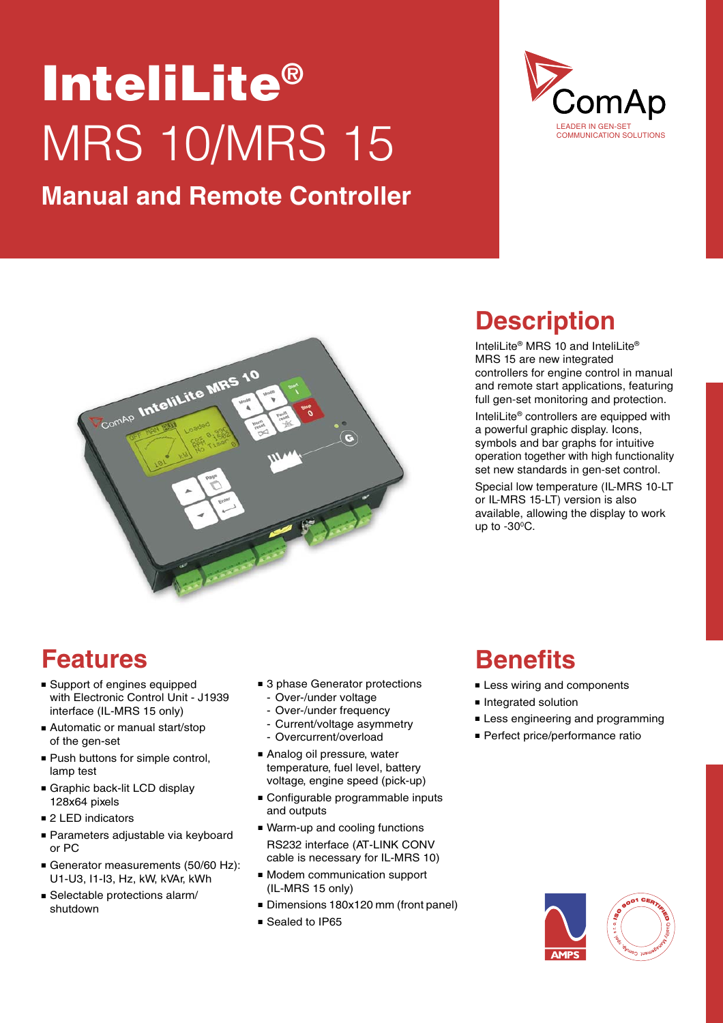# InteliLite® MRS 10/MRS 15

### **Manual and Remote Controller**





### **Description**

InteliLite® MRS 10 and InteliLite® MRS 15 are new integrated controllers for engine control in manual and remote start applications, featuring full gen-set monitoring and protection. InteliLite® controllers are equipped with a powerful graphic display. Icons, symbols and bar graphs for intuitive operation together with high functionality set new standards in gen-set control. Special low temperature (IL-MRS 10-LT or IL-MRS 15-LT) version is also available, allowing the display to work up to -30ºC.

#### **Features**

- Support of engines equipped with Electronic Control Unit - J1939 interface (IL-MRS 15 only)
- Automatic or manual start/stop of the gen-set
- Push buttons for simple control. lamp test
- Graphic back-lit LCD display 128x64 pixels
- 2 LED indicators
- Parameters adjustable via keyboard or PC
- Generator measurements (50/60 Hz): U1-U3, I1-I3, Hz, kW, kVAr, kWh
- $\blacksquare$  Selectable protections alarm/ shutdown
- 3 phase Generator protections
	- Over-/under voltage
	- Over-/under frequency
	- Current/voltage asymmetry
	- Overcurrent/overload
- Analog oil pressure, water temperature, fuel level, battery voltage, engine speed (pick-up)
- Configurable programmable inputs and outputs
- Warm-up and cooling functions RS232 interface (AT-LINK CONV cable is necessary for IL-MRS 10)
- <sup>n</sup> Modem communication support (IL-MRS 15 only)
- Dimensions 180x120 mm (front panel)
- Sealed to IP65

#### **Benefits**

- **Example 1** Less wiring and components
- **n** Integrated solution
- **Example 1** Less engineering and programming
- Perfect price/performance ratio